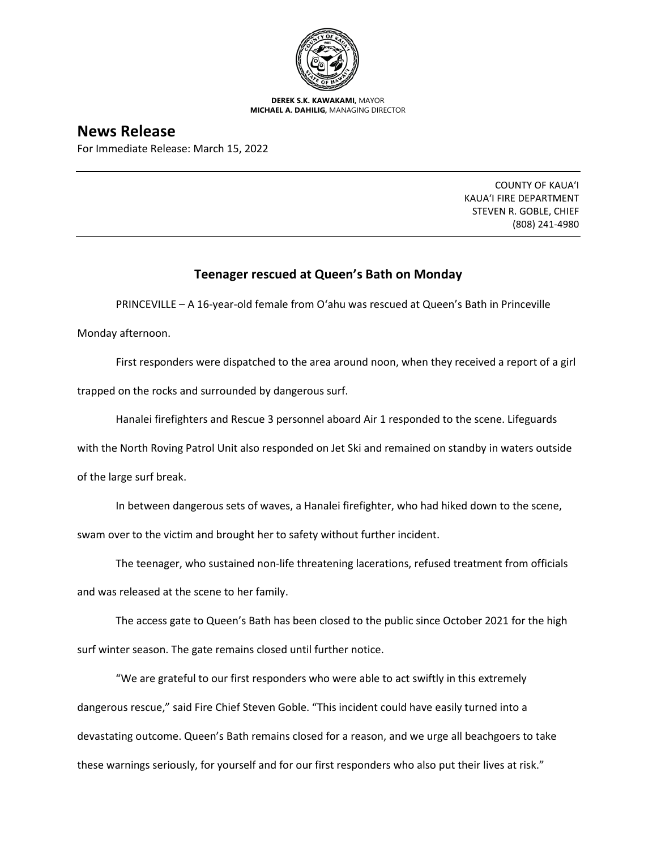

**DEREK S.K. KAWAKAMI,** MAYOR **MICHAEL A. DAHILIG,** MANAGING DIRECTOR

## **News Release**

For Immediate Release: March 15, 2022

COUNTY OF KAUA'I KAUA'I FIRE DEPARTMENT STEVEN R. GOBLE, CHIEF (808) 241-4980

## **Teenager rescued at Queen's Bath on Monday**

PRINCEVILLE – A 16-year-old female from O'ahu was rescued at Queen's Bath in Princeville

Monday afternoon.

First responders were dispatched to the area around noon, when they received a report of a girl trapped on the rocks and surrounded by dangerous surf.

Hanalei firefighters and Rescue 3 personnel aboard Air 1 responded to the scene. Lifeguards

with the North Roving Patrol Unit also responded on Jet Ski and remained on standby in waters outside

of the large surf break.

In between dangerous sets of waves, a Hanalei firefighter, who had hiked down to the scene, swam over to the victim and brought her to safety without further incident.

The teenager, who sustained non-life threatening lacerations, refused treatment from officials and was released at the scene to her family.

The access gate to Queen's Bath has been closed to the public since October 2021 for the high surf winter season. The gate remains closed until further notice.

"We are grateful to our first responders who were able to act swiftly in this extremely dangerous rescue," said Fire Chief Steven Goble. "This incident could have easily turned into a devastating outcome. Queen's Bath remains closed for a reason, and we urge all beachgoers to take these warnings seriously, for yourself and for our first responders who also put their lives at risk."